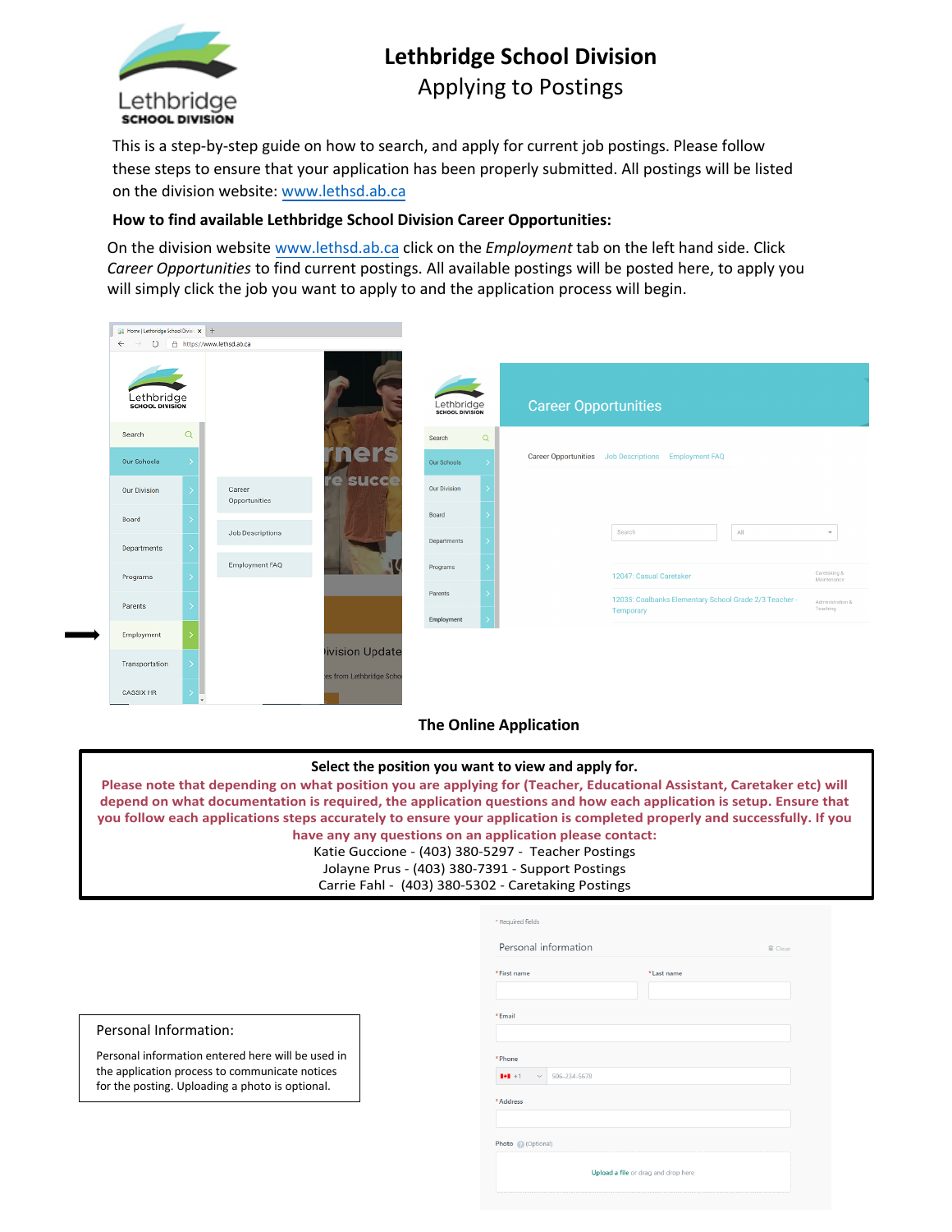

# **Lethbridge School Division** Applying to Postings

This is a step-by-step guide on how to search, and apply for current job postings. Please follow these steps to ensure that your application has been properly submitted. All postings will be listed on the division website: www.lethsd.ab.ca

## **How to find av[ailable Lethbridge Sc](http://www.lethsd.ab.ca/)hool Division Career Opportunities:**

On the division website [www.lethsd.ab.ca](http://www.lethsd.ab.ca/) click on the *Employment* tab on the left hand side. Click *Career Opportunities* to find current postings. All available postings will be posted here, to apply you will simply click the job you want to apply to and the application process will begin.



## **The Online Application**

### **Select the position you want to view and apply for.**

**Please note that depending on what position you are applying for (Teacher, Educational Assistant, Caretaker etc) will depend on what documentation is required, the application questions and how each application is setup. Ensure that you follow each applications steps accurately to ensure your application is completed properly and successfully. If you have any any questions on an application please contact:**

Katie Guccione - (403) 380-5297 - Teacher Postings Jolayne Prus - (403) 380-7391 - Support Postings Carrie Fahl - (403) 380-5302 - Caretaking Postings

| *First name                         |              | * Last name |  |
|-------------------------------------|--------------|-------------|--|
| *Email                              |              |             |  |
| * Phone                             |              |             |  |
| $   \bullet    + 1$<br>$\checkmark$ | 506-234-5678 |             |  |
| * Address                           |              |             |  |
|                                     |              |             |  |
|                                     |              |             |  |

#### Personal Information:

Personal information entered here will be used in the application process to communicate notices for the posting. Uploading a photo is optional.